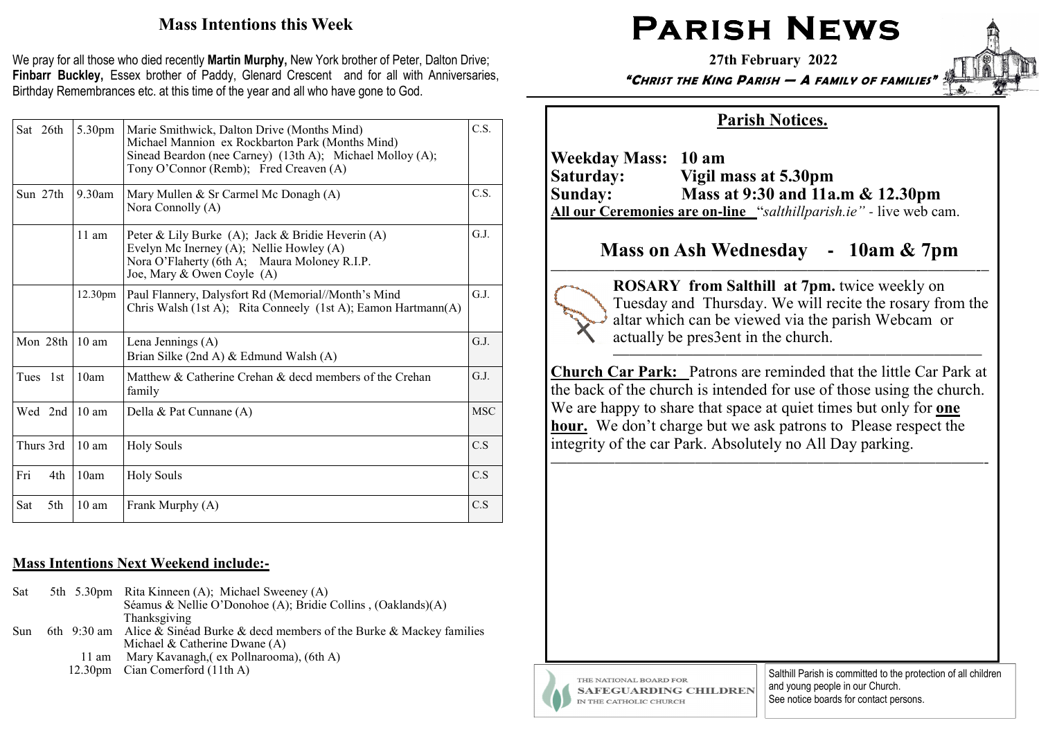# Mass Intentions this Week

We pray for all those who died recently Martin Murphy, New York brother of Peter, Dalton Drive; Finbarr Buckley, Essex brother of Paddy, Glenard Crescent and for all with Anniversaries, Birthday Remembrances etc. at this time of the year and all who have gone to God.

|     | Sat 26th  | 5.30pm               | Marie Smithwick, Dalton Drive (Months Mind)<br>Michael Mannion ex Rockbarton Park (Months Mind)<br>Sinead Beardon (nee Carney) (13th A); Michael Molloy (A);<br>Tony O'Connor (Remb); Fred Creaven (A) | C.S.       |
|-----|-----------|----------------------|--------------------------------------------------------------------------------------------------------------------------------------------------------------------------------------------------------|------------|
|     | Sun 27th  | $9.30$ am            | Mary Mullen & Sr Carmel Mc Donagh $(A)$<br>Nora Connolly (A)                                                                                                                                           | C.S.       |
|     |           | $11$ am              | Peter & Lily Burke (A); Jack & Bridie Heverin (A)<br>Evelyn Mc Inerney (A); Nellie Howley (A)<br>Nora O'Flaherty (6th A; Maura Moloney R.I.P.<br>Joe, Mary & Owen Coyle (A)                            | G.I.       |
|     |           | 12.30 <sub>pm</sub>  | Paul Flannery, Dalysfort Rd (Memorial//Month's Mind<br>Chris Walsh (1st A); Rita Conneely (1st A); Eamon Hartmann(A)                                                                                   | G.I.       |
|     |           | Mon $28th$ 10 am     | Lena Jennings (A)<br>Brian Silke (2nd A) & Edmund Walsh (A)                                                                                                                                            | G.J.       |
|     | Tues 1st  | 10am                 | Matthew & Catherine Crehan & decd members of the Crehan<br>family                                                                                                                                      | G.J.       |
|     |           | Wed $2nd \mid 10$ am | Della & Pat Cunnane (A)                                                                                                                                                                                | <b>MSC</b> |
|     | Thurs 3rd | 10 <sub>am</sub>     | <b>Holy Souls</b>                                                                                                                                                                                      | C.S        |
| Fri | 4th       | 10am                 | <b>Holy Souls</b>                                                                                                                                                                                      | C.S        |
| Sat | 5th       | 10 <sub>am</sub>     | Frank Murphy (A)                                                                                                                                                                                       | C.S        |

# Mass Intentions Next Weekend include:**-**

|  | 5th 5.30pm Rita Kinneen (A); Michael Sweeney (A)                               |
|--|--------------------------------------------------------------------------------|
|  | Séamus & Nellie O'Donohoe (A); Bridie Collins, (Oaklands)(A)                   |
|  | Thanksgiving                                                                   |
|  | 6th 9:30 am Alice & Sinéad Burke & decd members of the Burke & Mackey families |
|  | Michael & Catherine Dwane $(A)$                                                |
|  | 11 am Mary Kavanagh, (ex Pollnarooma), (6th A)                                 |
|  | 12.30pm Cian Comerford (11th A)                                                |
|  |                                                                                |

# $\mathsf{PARISH}\ \mathsf{NEWS}\ \mathsf{P}$

27th February 2022

"CHRIST THE KING PARISH — A FAMILY OF FAMILIES"

# Parish Notices.

Weekday Mass: 10 am Saturday: Vigil mass at 5.30pm Sunday: Mass at 9:30 and 11a.m & 12.30pm All our Ceremonies are on**-**line "salthillparish.ie" *-* live web cam.

# Mass on Ash Wednesday **-** 10am & 7pm

———————————————————————–———-–



 ROSARY from Salthill at 7pm. twice weekly on Tuesday and Thursday. We will recite the rosary from the altar which can be viewed via the parish Webcam or actually be pres3ent in the church.

 Church Car Park: Patrons are reminded that the little Car Park at the back of the church is intended for use of those using the church. We are happy to share that space at quiet times but only for **one** hour. We don't charge but we ask patrons to Please respect the integrity of the car Park. Absolutely no All Day parking.

———————————————————————————-



Salthill Parish is committed to the protection of all children and young people in our Church. See notice boards for contact persons.